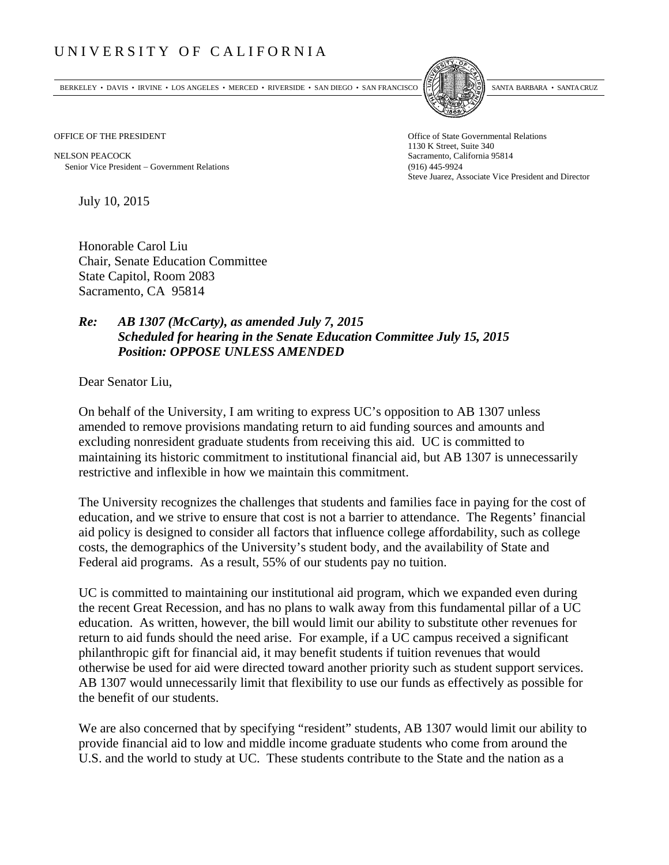## UNIVERSITY OF CALIFORNIA

BERKELEY • DAVIS • IRVINE • LOS ANGELES • MERCED • RIVERSIDE • SAN DIEGO • SAN FRANCISCO SANTA BARBARA • SANTA CRUZ



OFFICE OF THE PRESIDENT STATES OF THE PRESIDENT

NELSON PEACOCK Sacramento, California 95814 Senior Vice President Government Relations (916) 445-9924

1130 K Street, Suite 340 Steve Juarez, Associate Vice President and Director

July 10, 2015

Honorable Carol Liu Chair, Senate Education Committee State Capitol, Room 2083 Sacramento, CA 95814

## *Re: AB 1307 (McCarty), as amended July 7, 2015 Scheduled for hearing in the Senate Education Committee July 15, 2015 Position: OPPOSE UNLESS AMENDED*

Dear Senator Liu,

On behalf of the University, I am writing to express UC's opposition to AB 1307 unless amended to remove provisions mandating return to aid funding sources and amounts and excluding nonresident graduate students from receiving this aid. UC is committed to maintaining its historic commitment to institutional financial aid, but AB 1307 is unnecessarily restrictive and inflexible in how we maintain this commitment.

The University recognizes the challenges that students and families face in paying for the cost of education, and we strive to ensure that cost is not a barrier to attendance. The Regents' financial aid policy is designed to consider all factors that influence college affordability, such as college costs, the demographics of the University's student body, and the availability of State and Federal aid programs. As a result, 55% of our students pay no tuition.

UC is committed to maintaining our institutional aid program, which we expanded even during the recent Great Recession, and has no plans to walk away from this fundamental pillar of a UC education. As written, however, the bill would limit our ability to substitute other revenues for return to aid funds should the need arise. For example, if a UC campus received a significant philanthropic gift for financial aid, it may benefit students if tuition revenues that would otherwise be used for aid were directed toward another priority such as student support services. AB 1307 would unnecessarily limit that flexibility to use our funds as effectively as possible for the benefit of our students.

We are also concerned that by specifying "resident" students, AB 1307 would limit our ability to provide financial aid to low and middle income graduate students who come from around the U.S. and the world to study at UC. These students contribute to the State and the nation as a